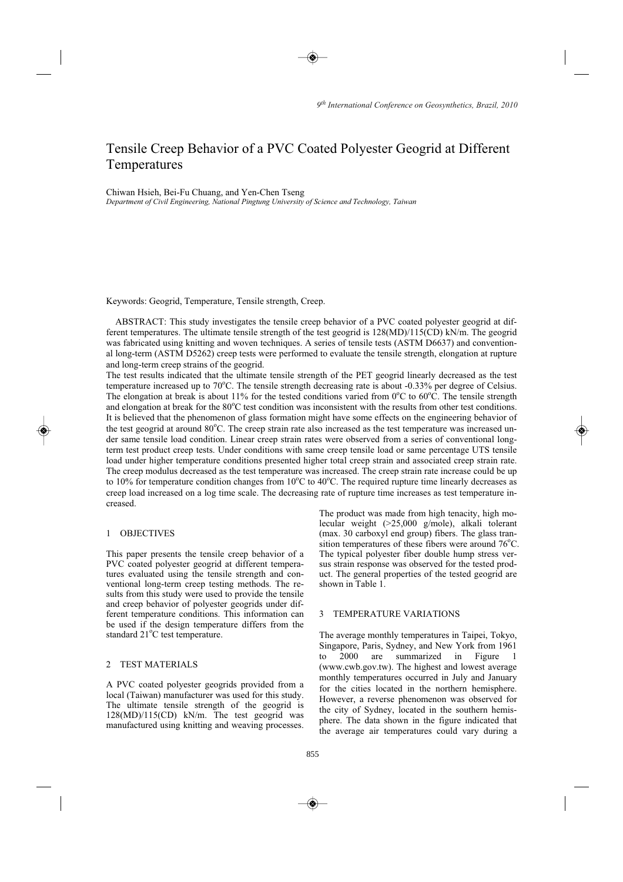# Tensile Creep Behavior of a PVC Coated Polyester Geogrid at Different Temperatures

#### Chiwan Hsieh, Bei-Fu Chuang, and Yen-Chen Tseng

*Department of Civil Engineering, National Pingtung University of Science and Technology, Taiwan* 

Keywords: Geogrid, Temperature, Tensile strength, Creep.

ABSTRACT: This study investigates the tensile creep behavior of a PVC coated polyester geogrid at different temperatures. The ultimate tensile strength of the test geogrid is 128(MD)/115(CD) kN/m. The geogrid was fabricated using knitting and woven techniques. A series of tensile tests (ASTM D6637) and conventional long-term (ASTM D5262) creep tests were performed to evaluate the tensile strength, elongation at rupture and long-term creep strains of the geogrid.

The test results indicated that the ultimate tensile strength of the PET geogrid linearly decreased as the test temperature increased up to 70°C. The tensile strength decreasing rate is about -0.33% per degree of Celsius. The elongation at break is about 11% for the tested conditions varied from  $0^{\circ}$ C to  $60^{\circ}$ C. The tensile strength and elongation at break for the 80°C test condition was inconsistent with the results from other test conditions. It is believed that the phenomenon of glass formation might have some effects on the engineering behavior of the test geogrid at around 80°C. The creep strain rate also increased as the test temperature was increased under same tensile load condition. Linear creep strain rates were observed from a series of conventional longterm test product creep tests. Under conditions with same creep tensile load or same percentage UTS tensile load under higher temperature conditions presented higher total creep strain and associated creep strain rate. The creep modulus decreased as the test temperature was increased. The creep strain rate increase could be up to 10% for temperature condition changes from 10°C to 40°C. The required rupture time linearly decreases as creep load increased on a log time scale. The decreasing rate of rupture time increases as test temperature increased.

## 1 OBJECTIVES

This paper presents the tensile creep behavior of a PVC coated polyester geogrid at different temperatures evaluated using the tensile strength and conventional long-term creep testing methods. The results from this study were used to provide the tensile and creep behavior of polyester geogrids under different temperature conditions. This information can be used if the design temperature differs from the standard 21°C test temperature.

## 2 TEST MATERIALS

A PVC coated polyester geogrids provided from a local (Taiwan) manufacturer was used for this study. The ultimate tensile strength of the geogrid is 128(MD)/115(CD) kN/m. The test geogrid was manufactured using knitting and weaving processes.

The product was made from high tenacity, high molecular weight (>25,000 g/mole), alkali tolerant (max. 30 carboxyl end group) fibers. The glass transition temperatures of these fibers were around 76°C. The typical polyester fiber double hump stress versus strain response was observed for the tested product. The general properties of the tested geogrid are shown in Table 1.

## 3 TEMPERATURE VARIATIONS

The average monthly temperatures in Taipei, Tokyo, Singapore, Paris, Sydney, and New York from 1961 2000 are summarized in Figure (www.cwb.gov.tw). The highest and lowest average monthly temperatures occurred in July and January for the cities located in the northern hemisphere. However, a reverse phenomenon was observed for the city of Sydney, located in the southern hemisphere. The data shown in the figure indicated that the average air temperatures could vary during a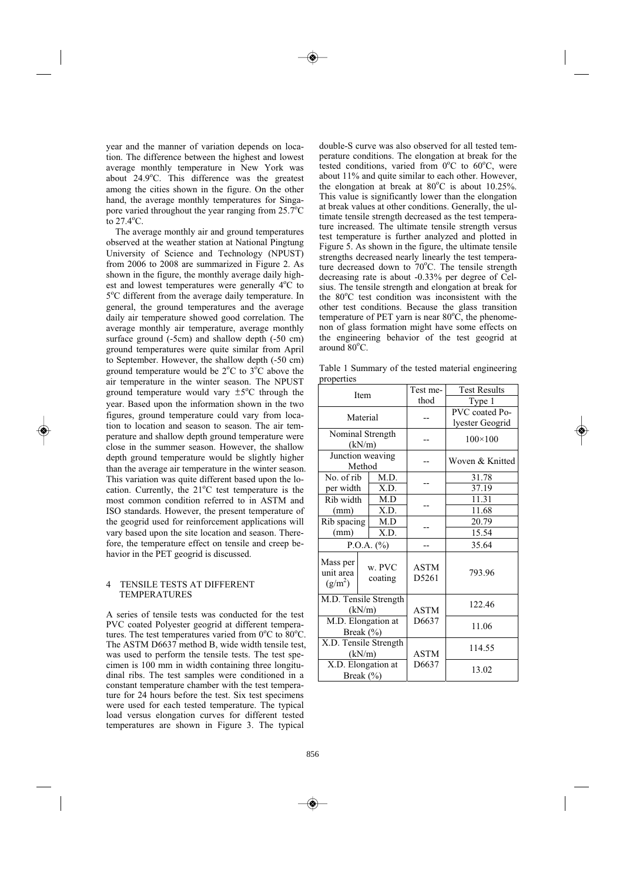year and the manner of variation depends on location. The difference between the highest and lowest average monthly temperature in New York was about 24.9°C. This difference was the greatest among the cities shown in the figure. On the other hand, the average monthly temperatures for Singapore varied throughout the year ranging from  $25.7^{\circ}$ C to  $27.4^{\circ}$ C.

The average monthly air and ground temperatures observed at the weather station at National Pingtung University of Science and Technology (NPUST) from 2006 to 2008 are summarized in Figure 2. As shown in the figure, the monthly average daily highest and lowest temperatures were generally 4°C to 5°C different from the average daily temperature. In general, the ground temperatures and the average daily air temperature showed good correlation. The average monthly air temperature, average monthly surface ground (-5cm) and shallow depth (-50 cm) ground temperatures were quite similar from April to September. However, the shallow depth (-50 cm) ground temperature would be  $2^{\circ}$ C to  $3^{\circ}$ C above the air temperature in the winter season. The NPUST ground temperature would vary  $\pm 5^{\circ}$ C through the year. Based upon the information shown in the two figures, ground temperature could vary from location to location and season to season. The air temperature and shallow depth ground temperature were close in the summer season. However, the shallow depth ground temperature would be slightly higher than the average air temperature in the winter season. This variation was quite different based upon the location. Currently, the  $21^{\circ}$ C test temperature is the most common condition referred to in ASTM and ISO standards. However, the present temperature of the geogrid used for reinforcement applications will vary based upon the site location and season. Therefore, the temperature effect on tensile and creep behavior in the PET geogrid is discussed.

## 4 TENSILE TESTS AT DIFFERENT TEMPERATURES

A series of tensile tests was conducted for the test PVC coated Polyester geogrid at different temperatures. The test temperatures varied from  $0^{\circ}$ C to  $80^{\circ}$ C. The ASTM D6637 method B, wide width tensile test, was used to perform the tensile tests. The test specimen is 100 mm in width containing three longitudinal ribs. The test samples were conditioned in a constant temperature chamber with the test temperature for 24 hours before the test. Six test specimens were used for each tested temperature. The typical load versus elongation curves for different tested temperatures are shown in Figure 3. The typical

double-S curve was also observed for all tested temperature conditions. The elongation at break for the tested conditions, varied from  $0^{\circ}$ C to  $60^{\circ}$ C, were about 11% and quite similar to each other. However, the elongation at break at  $80^{\circ}$ C is about 10.25%. This value is significantly lower than the elongation at break values at other conditions. Generally, the ultimate tensile strength decreased as the test temperature increased. The ultimate tensile strength versus test temperature is further analyzed and plotted in Figure 5. As shown in the figure, the ultimate tensile strengths decreased nearly linearly the test temperature decreased down to 70°C. The tensile strength decreasing rate is about -0.33% per degree of Celsius. The tensile strength and elongation at break for the 80°C test condition was inconsistent with the other test conditions. Because the glass transition temperature of PET yarn is near  $80^{\circ}$ C, the phenomenon of glass formation might have some effects on the engineering behavior of the test geogrid at around 80°C.

Table 1 Summary of the tested material engineering properties

| Item                                |                   | Test me-             | <b>Test Results</b><br>Type 1     |  |
|-------------------------------------|-------------------|----------------------|-----------------------------------|--|
|                                     |                   | thod                 |                                   |  |
| Material                            |                   |                      | PVC coated Po-<br>lyester Geogrid |  |
| Nominal Strength<br>(kN/m)          |                   |                      | $100 \times 100$                  |  |
| Junction weaving<br>Method          |                   |                      | Woven & Knitted                   |  |
| No. of rib                          | M.D.              |                      | 31.78                             |  |
| per width                           | X.D.              |                      | 37.19                             |  |
| Rib width                           | M.D               |                      | 11.31                             |  |
| (mm)                                | X.D.              |                      | 11.68                             |  |
| Rib spacing                         | M.D               |                      | 20.79                             |  |
| (mm)                                | X.D.              |                      | 15.54                             |  |
| P.O.A. $(\%)$                       |                   |                      | 35.64                             |  |
| Mass per<br>unit area<br>$(g/m^2)$  | w. PVC<br>coating | <b>ASTM</b><br>D5261 | 793.96                            |  |
| M.D. Tensile Strength<br>(kN/m)     |                   | <b>ASTM</b>          | 122.46                            |  |
| M.D. Elongation at<br>Break $(\% )$ |                   | D6637                | 11.06                             |  |
| X.D. Tensile Strength<br>(kN/m)     |                   | <b>ASTM</b>          | 114.55                            |  |
| X.D. Elongation at<br>Break $(\% )$ |                   | D6637                | 13.02                             |  |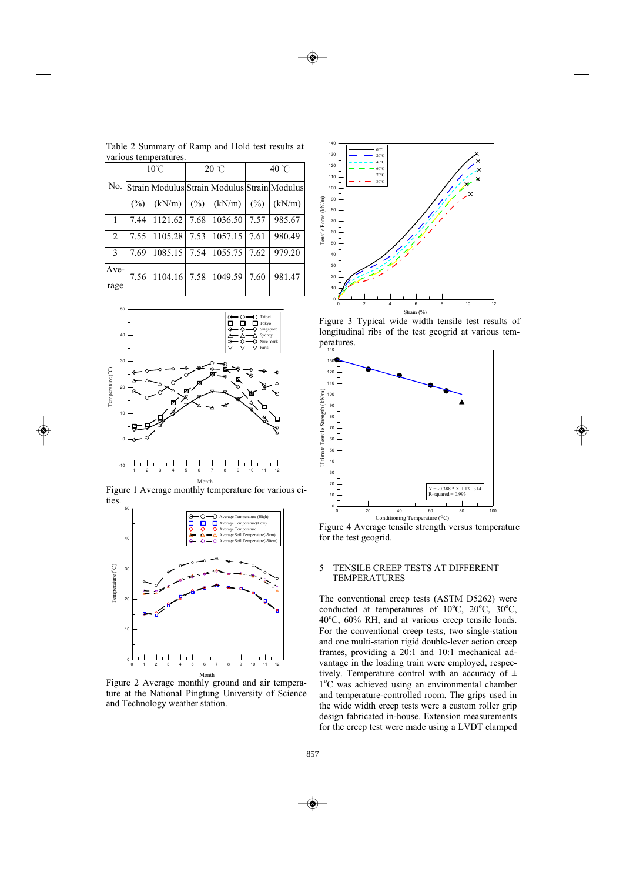|              | $10^{\circ}$ C |                | $20^{\circ}$ C |                                                  | 40 $\degree$ C |        |
|--------------|----------------|----------------|----------------|--------------------------------------------------|----------------|--------|
|              |                |                |                | No. Strain Modulus Strain Modulus Strain Modulus |                |        |
|              | $\frac{6}{2}$  | (kN/m)         |                | $(\%)$ (kN/m) (%)                                |                | (kN/m) |
| $\mathbf{1}$ | 7.44           | $1121.62$ 7.68 |                | 1036.50                                          | 7.57           | 985.67 |
| 2            | 7.55           | 1105.28        | 7.53           | $1057.15$ 7.61                                   |                | 980.49 |
| 3            | 7.69           |                |                | 1085.15 7.54 1055.75 7.62                        |                | 979.20 |
| Ave-<br>rage | 7.56           | 1104.16 7.58   |                | 1049.59                                          | 7.60           | 981.47 |

Table 2 Summary of Ramp and Hold test results at various temperatures.



Figure 1 Average monthly temperature for various cities.



Figure 2 Average monthly ground and air temperature at the National Pingtung University of Science and Technology weather station.



Figure 3 Typical wide width tensile test results of longitudinal ribs of the test geogrid at various temperatures.



Figure 4 Average tensile strength versus temperature for the test geogrid.

## 5 TENSILE CREEP TESTS AT DIFFERENT TEMPERATURES

The conventional creep tests (ASTM D5262) were conducted at temperatures of 10°C, 20°C, 30°C, 40°C, 60% RH, and at various creep tensile loads. For the conventional creep tests, two single-station and one multi-station rigid double-lever action creep frames, providing a 20:1 and 10:1 mechanical advantage in the loading train were employed, respectively. Temperature control with an accuracy of  $\pm$ 1°C was achieved using an environmental chamber and temperature-controlled room. The grips used in the wide width creep tests were a custom roller grip design fabricated in-house. Extension measurements for the creep test were made using a LVDT clamped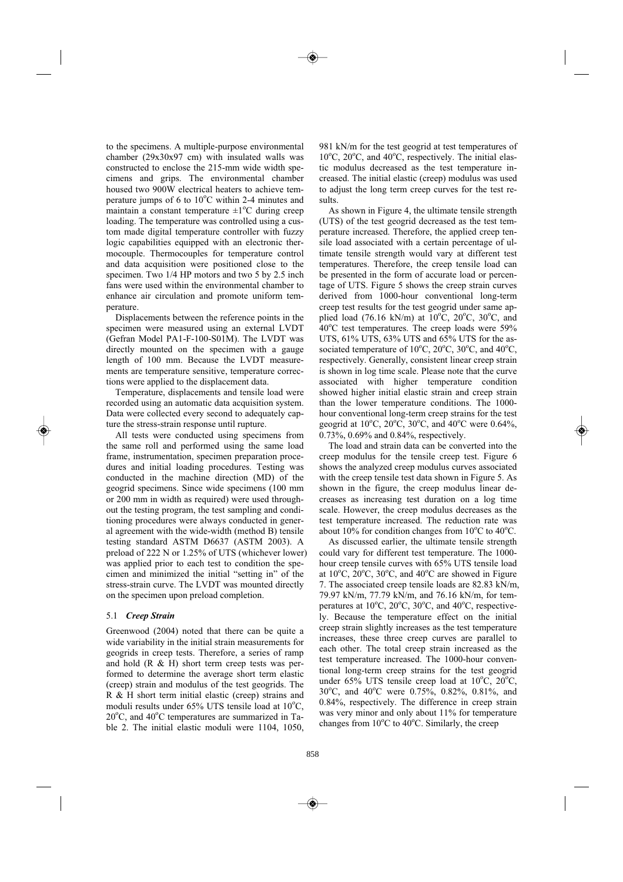to the specimens. A multiple-purpose environmental chamber (29x30x97 cm) with insulated walls was constructed to enclose the 215-mm wide width specimens and grips. The environmental chamber housed two 900W electrical heaters to achieve temperature jumps of  $6$  to  $10^{\circ}$ C within 2-4 minutes and maintain a constant temperature  $\pm 1$ <sup>o</sup>C during creep loading. The temperature was controlled using a custom made digital temperature controller with fuzzy logic capabilities equipped with an electronic thermocouple. Thermocouples for temperature control and data acquisition were positioned close to the specimen. Two 1/4 HP motors and two 5 by 2.5 inch fans were used within the environmental chamber to enhance air circulation and promote uniform temperature.

Displacements between the reference points in the specimen were measured using an external LVDT (Gefran Model PA1-F-100-S01M). The LVDT was directly mounted on the specimen with a gauge length of 100 mm. Because the LVDT measurements are temperature sensitive, temperature corrections were applied to the displacement data.

Temperature, displacements and tensile load were recorded using an automatic data acquisition system. Data were collected every second to adequately capture the stress-strain response until rupture.

All tests were conducted using specimens from the same roll and performed using the same load frame, instrumentation, specimen preparation procedures and initial loading procedures. Testing was conducted in the machine direction (MD) of the geogrid specimens. Since wide specimens (100 mm or 200 mm in width as required) were used throughout the testing program, the test sampling and conditioning procedures were always conducted in general agreement with the wide-width (method B) tensile testing standard ASTM D6637 (ASTM 2003). A preload of 222 N or 1.25% of UTS (whichever lower) was applied prior to each test to condition the specimen and minimized the initial "setting in" of the stress-strain curve. The LVDT was mounted directly on the specimen upon preload completion.

## 5.1 *Creep Strain*

Greenwood (2004) noted that there can be quite a wide variability in the initial strain measurements for geogrids in creep tests. Therefore, a series of ramp and hold  $(R \& H)$  short term creep tests was performed to determine the average short term elastic (creep) strain and modulus of the test geogrids. The R & H short term initial elastic (creep) strains and moduli results under 65% UTS tensile load at 10°C, 20°C, and 40°C temperatures are summarized in Table 2. The initial elastic moduli were 1104, 1050,

981 kN/m for the test geogrid at test temperatures of 10°C, 20°C, and 40°C, respectively. The initial elastic modulus decreased as the test temperature increased. The initial elastic (creep) modulus was used to adjust the long term creep curves for the test results.

As shown in Figure 4, the ultimate tensile strength (UTS) of the test geogrid decreased as the test temperature increased. Therefore, the applied creep tensile load associated with a certain percentage of ultimate tensile strength would vary at different test temperatures. Therefore, the creep tensile load can be presented in the form of accurate load or percentage of UTS. Figure 5 shows the creep strain curves derived from 1000-hour conventional long-term creep test results for the test geogrid under same applied load (76.16 kN/m) at  $10^{\circ}$ C,  $20^{\circ}$ C,  $30^{\circ}$ C, and 40°C test temperatures. The creep loads were 59% UTS, 61% UTS, 63% UTS and 65% UTS for the associated temperature of  $10^{\circ}$ C,  $20^{\circ}$ C,  $30^{\circ}$ C, and  $40^{\circ}$ C, respectively. Generally, consistent linear creep strain is shown in log time scale. Please note that the curve associated with higher temperature condition showed higher initial elastic strain and creep strain than the lower temperature conditions. The 1000 hour conventional long-term creep strains for the test geogrid at  $10^{\circ}$ C,  $20^{\circ}$ C,  $30^{\circ}$ C, and  $40^{\circ}$ C were 0.64%, 0.73%, 0.69% and 0.84%, respectively.

The load and strain data can be converted into the creep modulus for the tensile creep test. Figure 6 shows the analyzed creep modulus curves associated with the creep tensile test data shown in Figure 5. As shown in the figure, the creep modulus linear decreases as increasing test duration on a log time scale. However, the creep modulus decreases as the test temperature increased. The reduction rate was about 10% for condition changes from  $10^{\circ}$ C to  $40^{\circ}$ C.

As discussed earlier, the ultimate tensile strength could vary for different test temperature. The 1000 hour creep tensile curves with 65% UTS tensile load at  $10^{\circ}$ C,  $20^{\circ}$ C,  $30^{\circ}$ C, and  $40^{\circ}$ C are showed in Figure 7. The associated creep tensile loads are 82.83 kN/m, 79.97 kN/m, 77.79 kN/m, and 76.16 kN/m, for temperatures at  $10^{\circ}$ C,  $20^{\circ}$ C,  $30^{\circ}$ C, and  $40^{\circ}$ C, respectively. Because the temperature effect on the initial creep strain slightly increases as the test temperature increases, these three creep curves are parallel to each other. The total creep strain increased as the test temperature increased. The 1000-hour conventional long-term creep strains for the test geogrid under 65% UTS tensile creep load at 10°C, 20°C, 30°C, and 40°C were 0.75%, 0.82%, 0.81%, and 0.84%, respectively. The difference in creep strain was very minor and only about 11% for temperature changes from 10°C to 40°C. Similarly, the creep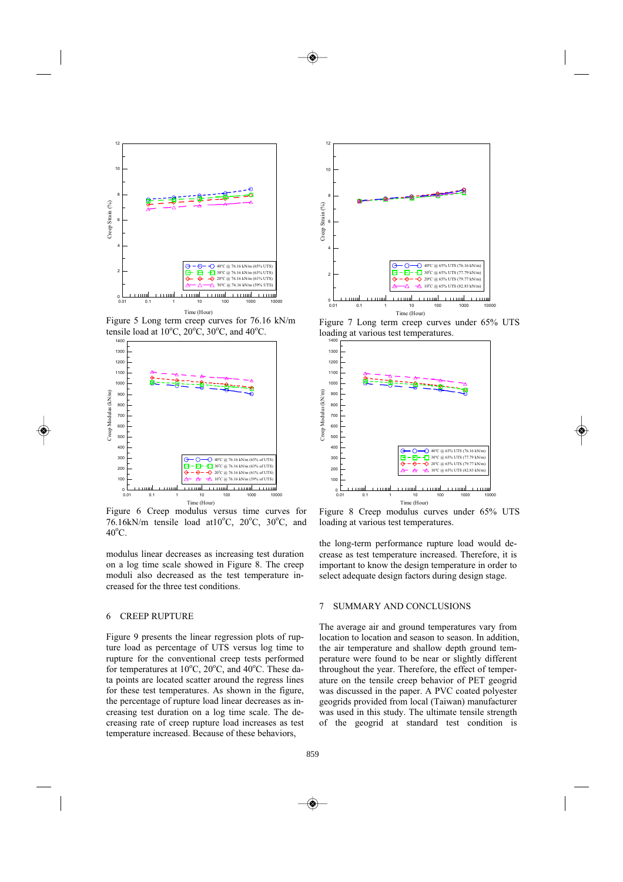

Figure 5 Long term creep curves for 76.16 kN/m tensile load at  $10^{\circ}$ C,  $20^{\circ}$ C,  $30^{\circ}$ C, and  $40^{\circ}$ C.



Figure 6 Creep modulus versus time curves for 76.16kN/m tensile load at  $10^{\circ}$ C,  $20^{\circ}$ C,  $30^{\circ}$ C, and  $40^{\circ}$ C.

modulus linear decreases as increasing test duration on a log time scale showed in Figure 8. The creep moduli also decreased as the test temperature increased for the three test conditions.

#### 6 CREEP RUPTURE

Figure 9 presents the linear regression plots of rupture load as percentage of UTS versus log time to rupture for the conventional creep tests performed for temperatures at 10°C, 20°C, and 40°C. These data points are located scatter around the regress lines for these test temperatures. As shown in the figure, the percentage of rupture load linear decreases as increasing test duration on a log time scale. The decreasing rate of creep rupture load increases as test temperature increased. Because of these behaviors,



Figure 7 Long term creep curves under 65% UTS loading at various test temperatures.



Figure 8 Creep modulus curves under 65% UTS loading at various test temperatures.

the long-term performance rupture load would decrease as test temperature increased. Therefore, it is important to know the design temperature in order to select adequate design factors during design stage.

## 7 SUMMARY AND CONCLUSIONS

The average air and ground temperatures vary from location to location and season to season. In addition, the air temperature and shallow depth ground temperature were found to be near or slightly different throughout the year. Therefore, the effect of temperature on the tensile creep behavior of PET geogrid was discussed in the paper. A PVC coated polyester geogrids provided from local (Taiwan) manufacturer was used in this study. The ultimate tensile strength of the geogrid at standard test condition is